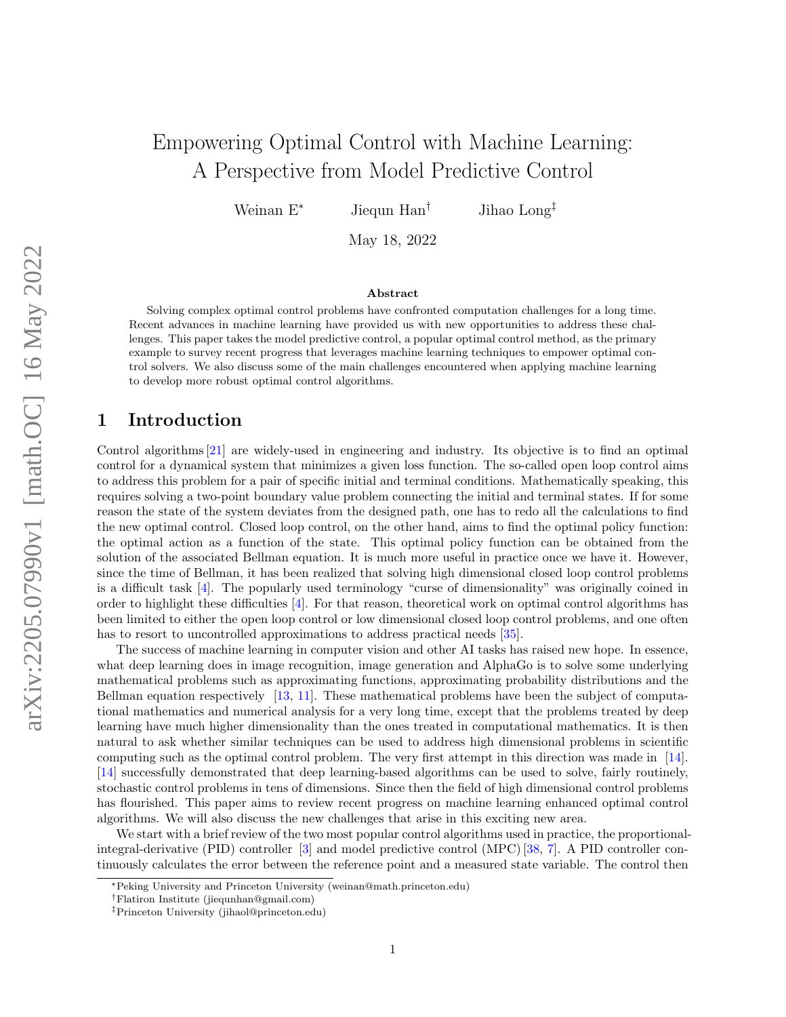# Empowering Optimal Control with Machine Learning: A Perspective from Model Predictive Control

Weinan E<sup>∗</sup> Jiequn Han<sup>†</sup> Jihao Long<sup>‡</sup>

May 18, 2022

#### Abstract

Solving complex optimal control problems have confronted computation challenges for a long time. Recent advances in machine learning have provided us with new opportunities to address these challenges. This paper takes the model predictive control, a popular optimal control method, as the primary example to survey recent progress that leverages machine learning techniques to empower optimal control solvers. We also discuss some of the main challenges encountered when applying machine learning to develop more robust optimal control algorithms.

# 1 Introduction

Control algorithms [\[21\]](#page-6-0) are widely-used in engineering and industry. Its objective is to find an optimal control for a dynamical system that minimizes a given loss function. The so-called open loop control aims to address this problem for a pair of specific initial and terminal conditions. Mathematically speaking, this requires solving a two-point boundary value problem connecting the initial and terminal states. If for some reason the state of the system deviates from the designed path, one has to redo all the calculations to find the new optimal control. Closed loop control, on the other hand, aims to find the optimal policy function: the optimal action as a function of the state. This optimal policy function can be obtained from the solution of the associated Bellman equation. It is much more useful in practice once we have it. However, since the time of Bellman, it has been realized that solving high dimensional closed loop control problems is a difficult task [\[4\]](#page-5-0). The popularly used terminology "curse of dimensionality" was originally coined in order to highlight these difficulties [\[4\]](#page-5-0). For that reason, theoretical work on optimal control algorithms has been limited to either the open loop control or low dimensional closed loop control problems, and one often has to resort to uncontrolled approximations to address practical needs [\[35\]](#page-6-1).

The success of machine learning in computer vision and other AI tasks has raised new hope. In essence, what deep learning does in image recognition, image generation and AlphaGo is to solve some underlying mathematical problems such as approximating functions, approximating probability distributions and the Bellman equation respectively [\[13,](#page-5-1) [11\]](#page-5-2). These mathematical problems have been the subject of computational mathematics and numerical analysis for a very long time, except that the problems treated by deep learning have much higher dimensionality than the ones treated in computational mathematics. It is then natural to ask whether similar techniques can be used to address high dimensional problems in scientific computing such as the optimal control problem. The very first attempt in this direction was made in [\[14\]](#page-5-3). [\[14\]](#page-5-3) successfully demonstrated that deep learning-based algorithms can be used to solve, fairly routinely, stochastic control problems in tens of dimensions. Since then the field of high dimensional control problems has flourished. This paper aims to review recent progress on machine learning enhanced optimal control algorithms. We will also discuss the new challenges that arise in this exciting new area.

We start with a brief review of the two most popular control algorithms used in practice, the proportionalintegral-derivative (PID) controller [\[3\]](#page-5-4) and model predictive control (MPC) [\[38,](#page-7-0) [7\]](#page-5-5). A PID controller continuously calculates the error between the reference point and a measured state variable. The control then

<sup>∗</sup>Peking University and Princeton University [\(weinan@math.princeton.edu\)](mailto:weinan@math.princeton.edu)

<sup>†</sup>Flatiron Institute [\(jiequnhan@gmail.com\)](mailto:jiequnhan@gmail.com)

<sup>‡</sup>Princeton University [\(jihaol@princeton.edu\)](mailto:jihaol@princeton.edu)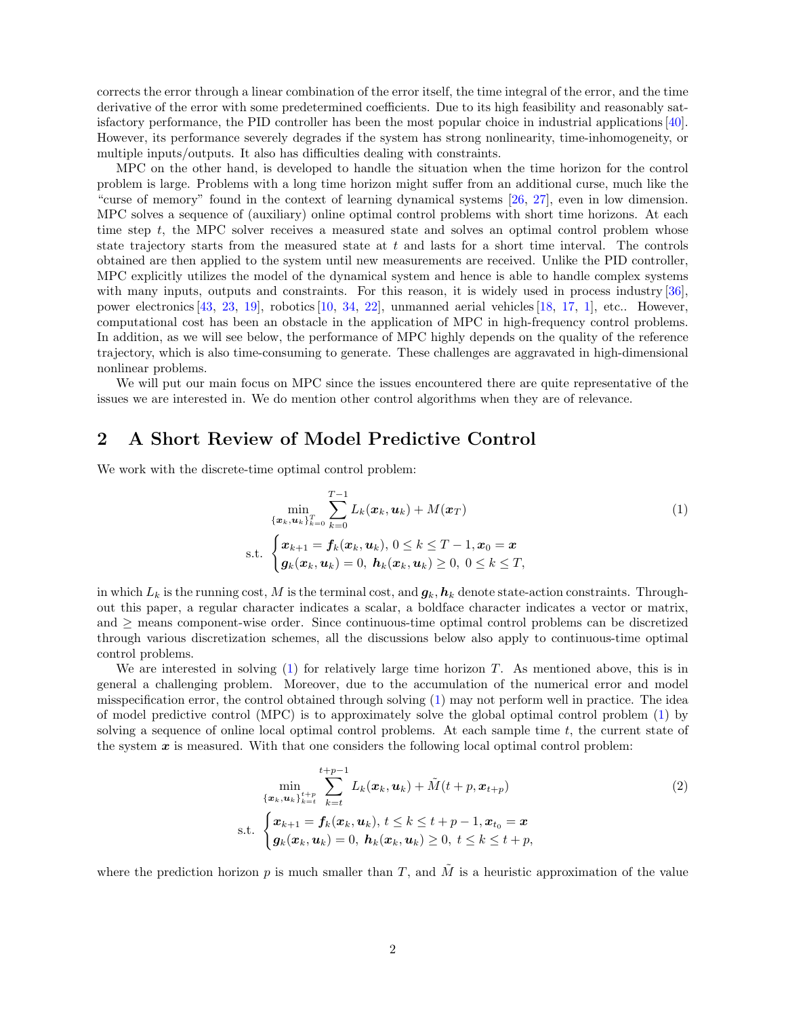corrects the error through a linear combination of the error itself, the time integral of the error, and the time derivative of the error with some predetermined coefficients. Due to its high feasibility and reasonably satisfactory performance, the PID controller has been the most popular choice in industrial applications [\[40\]](#page-7-1). However, its performance severely degrades if the system has strong nonlinearity, time-inhomogeneity, or multiple inputs/outputs. It also has difficulties dealing with constraints.

MPC on the other hand, is developed to handle the situation when the time horizon for the control problem is large. Problems with a long time horizon might suffer from an additional curse, much like the "curse of memory" found in the context of learning dynamical systems [\[26,](#page-6-2) [27\]](#page-6-3), even in low dimension. MPC solves a sequence of (auxiliary) online optimal control problems with short time horizons. At each time step t, the MPC solver receives a measured state and solves an optimal control problem whose state trajectory starts from the measured state at  $t$  and lasts for a short time interval. The controls obtained are then applied to the system until new measurements are received. Unlike the PID controller, MPC explicitly utilizes the model of the dynamical system and hence is able to handle complex systems with many inputs, outputs and constraints. For this reason, it is widely used in process industry [\[36\]](#page-6-4), power electronics [\[43,](#page-7-2) [23,](#page-6-5) [19\]](#page-6-6), robotics [\[10,](#page-5-6) [34,](#page-6-7) [22\]](#page-6-8), unmanned aerial vehicles [\[18,](#page-5-7) [17,](#page-5-8) [1\]](#page-5-9), etc.. However, computational cost has been an obstacle in the application of MPC in high-frequency control problems. In addition, as we will see below, the performance of MPC highly depends on the quality of the reference trajectory, which is also time-consuming to generate. These challenges are aggravated in high-dimensional nonlinear problems.

We will put our main focus on MPC since the issues encountered there are quite representative of the issues we are interested in. We do mention other control algorithms when they are of relevance.

### 2 A Short Review of Model Predictive Control

We work with the discrete-time optimal control problem:

<span id="page-1-0"></span>
$$
\min_{\{\boldsymbol{x}_k, \boldsymbol{u}_k\}_{k=0}^T} \sum_{k=0}^{T-1} L_k(\boldsymbol{x}_k, \boldsymbol{u}_k) + M(\boldsymbol{x}_T)
$$
\ns.t. 
$$
\begin{cases} \boldsymbol{x}_{k+1} = \boldsymbol{f}_k(\boldsymbol{x}_k, \boldsymbol{u}_k), \ 0 \le k \le T-1, \boldsymbol{x}_0 = \boldsymbol{x} \\ \boldsymbol{g}_k(\boldsymbol{x}_k, \boldsymbol{u}_k) = 0, \ \boldsymbol{h}_k(\boldsymbol{x}_k, \boldsymbol{u}_k) \ge 0, \ 0 \le k \le T, \end{cases}
$$
\n(1)

in which  $L_k$  is the running cost, M is the terminal cost, and  $g_k$ ,  $h_k$  denote state-action constraints. Throughout this paper, a regular character indicates a scalar, a boldface character indicates a vector or matrix, and ≥ means component-wise order. Since continuous-time optimal control problems can be discretized through various discretization schemes, all the discussions below also apply to continuous-time optimal control problems.

We are interested in solving  $(1)$  for relatively large time horizon T. As mentioned above, this is in general a challenging problem. Moreover, due to the accumulation of the numerical error and model misspecification error, the control obtained through solving [\(1\)](#page-1-0) may not perform well in practice. The idea of model predictive control (MPC) is to approximately solve the global optimal control problem [\(1\)](#page-1-0) by solving a sequence of online local optimal control problems. At each sample time  $t$ , the current state of the system  $x$  is measured. With that one considers the following local optimal control problem:

<span id="page-1-1"></span>
$$
\min_{\{\boldsymbol{x}_k, \boldsymbol{u}_k\}_{k=t}^{t+p-1}} \sum_{k=t}^{t+p-1} L_k(\boldsymbol{x}_k, \boldsymbol{u}_k) + \tilde{M}(t+p, \boldsymbol{x}_{t+p})
$$
\ns.t. 
$$
\begin{cases} \boldsymbol{x}_{k+1} = \boldsymbol{f}_k(\boldsymbol{x}_k, \boldsymbol{u}_k), t \leq k \leq t+p-1, \boldsymbol{x}_{t_0} = \boldsymbol{x} \\ \boldsymbol{g}_k(\boldsymbol{x}_k, \boldsymbol{u}_k) = 0, \ \boldsymbol{h}_k(\boldsymbol{x}_k, \boldsymbol{u}_k) \geq 0, \ t \leq k \leq t+p, \end{cases}
$$
\n(2)

where the prediction horizon p is much smaller than T, and  $\tilde{M}$  is a heuristic approximation of the value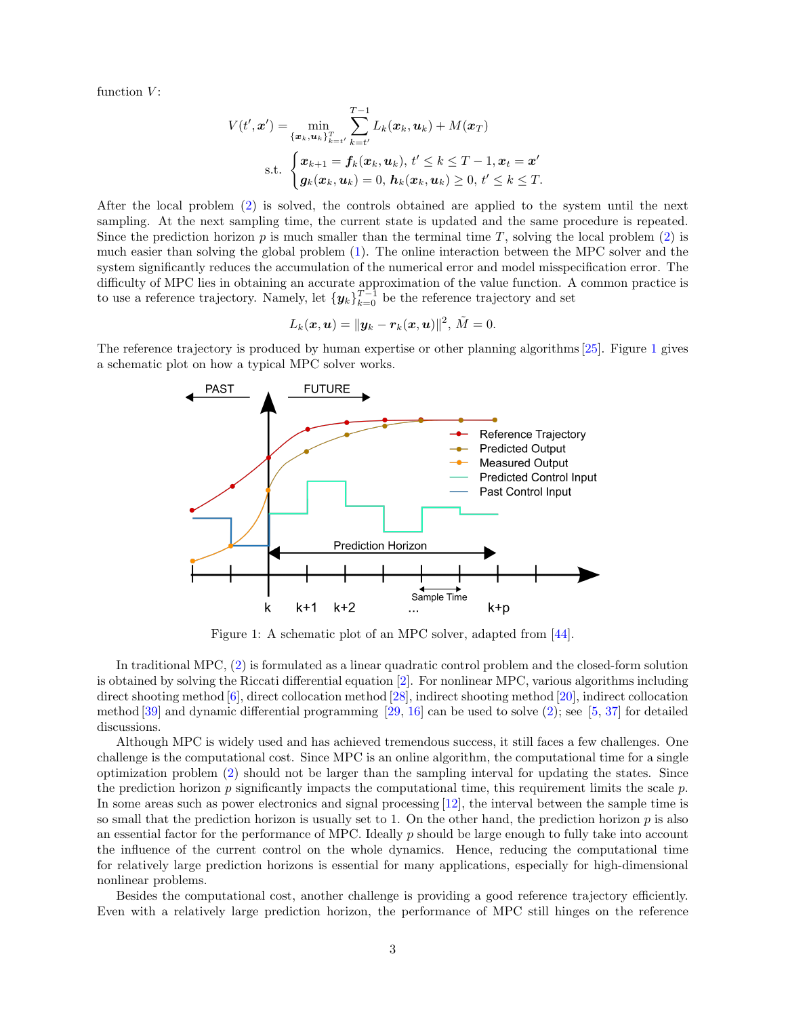function  $V$ :

$$
V(t', \boldsymbol{x}') = \min_{\{\boldsymbol{x}_k, \boldsymbol{u}_k\}_{k=t'}^T} \sum_{k=t'}^{T-1} L_k(\boldsymbol{x}_k, \boldsymbol{u}_k) + M(\boldsymbol{x}_T)
$$
  
s.t. 
$$
\begin{cases} \boldsymbol{x}_{k+1} = \boldsymbol{f}_k(\boldsymbol{x}_k, \boldsymbol{u}_k), t' \leq k \leq T-1, \boldsymbol{x}_t = \boldsymbol{x}' \\ \boldsymbol{g}_k(\boldsymbol{x}_k, \boldsymbol{u}_k) = 0, \, \boldsymbol{h}_k(\boldsymbol{x}_k, \boldsymbol{u}_k) \geq 0, t' \leq k \leq T. \end{cases}
$$

After the local problem [\(2\)](#page-1-1) is solved, the controls obtained are applied to the system until the next sampling. At the next sampling time, the current state is updated and the same procedure is repeated. Since the prediction horizon p is much smaller than the terminal time T, solving the local problem  $(2)$  is much easier than solving the global problem [\(1\)](#page-1-0). The online interaction between the MPC solver and the system significantly reduces the accumulation of the numerical error and model misspecification error. The difficulty of MPC lies in obtaining an accurate approximation of the value function. A common practice is to use a reference trajectory. Namely, let  ${y_k}_{k=0}^{T-1}$  be the reference trajectory and set

$$
L_k(\boldsymbol{x},\boldsymbol{u}) = \|\boldsymbol{y}_k - \boldsymbol{r}_k(\boldsymbol{x},\boldsymbol{u})\|^2, \, \tilde{M} = 0.
$$

<span id="page-2-0"></span>The reference trajectory is produced by human expertise or other planning algorithms [\[25\]](#page-6-9). Figure [1](#page-2-0) gives a schematic plot on how a typical MPC solver works.



Figure 1: A schematic plot of an MPC solver, adapted from [\[44\]](#page-7-3).

In traditional MPC, [\(2\)](#page-1-1) is formulated as a linear quadratic control problem and the closed-form solution is obtained by solving the Riccati differential equation [\[2\]](#page-5-10). For nonlinear MPC, various algorithms including direct shooting method [\[6\]](#page-5-11), direct collocation method [\[28\]](#page-6-10), indirect shooting method [\[20\]](#page-6-11), indirect collocation method [\[39\]](#page-7-4) and dynamic differential programming [\[29,](#page-6-12) [16\]](#page-5-12) can be used to solve [\(2\)](#page-1-1); see [\[5,](#page-5-13) [37\]](#page-6-13) for detailed discussions.

Although MPC is widely used and has achieved tremendous success, it still faces a few challenges. One challenge is the computational cost. Since MPC is an online algorithm, the computational time for a single optimization problem [\(2\)](#page-1-1) should not be larger than the sampling interval for updating the states. Since the prediction horizon  $p$  significantly impacts the computational time, this requirement limits the scale  $p$ . In some areas such as power electronics and signal processing [\[12\]](#page-5-14), the interval between the sample time is so small that the prediction horizon is usually set to 1. On the other hand, the prediction horizon  $p$  is also an essential factor for the performance of MPC. Ideally p should be large enough to fully take into account the influence of the current control on the whole dynamics. Hence, reducing the computational time for relatively large prediction horizons is essential for many applications, especially for high-dimensional nonlinear problems.

Besides the computational cost, another challenge is providing a good reference trajectory efficiently. Even with a relatively large prediction horizon, the performance of MPC still hinges on the reference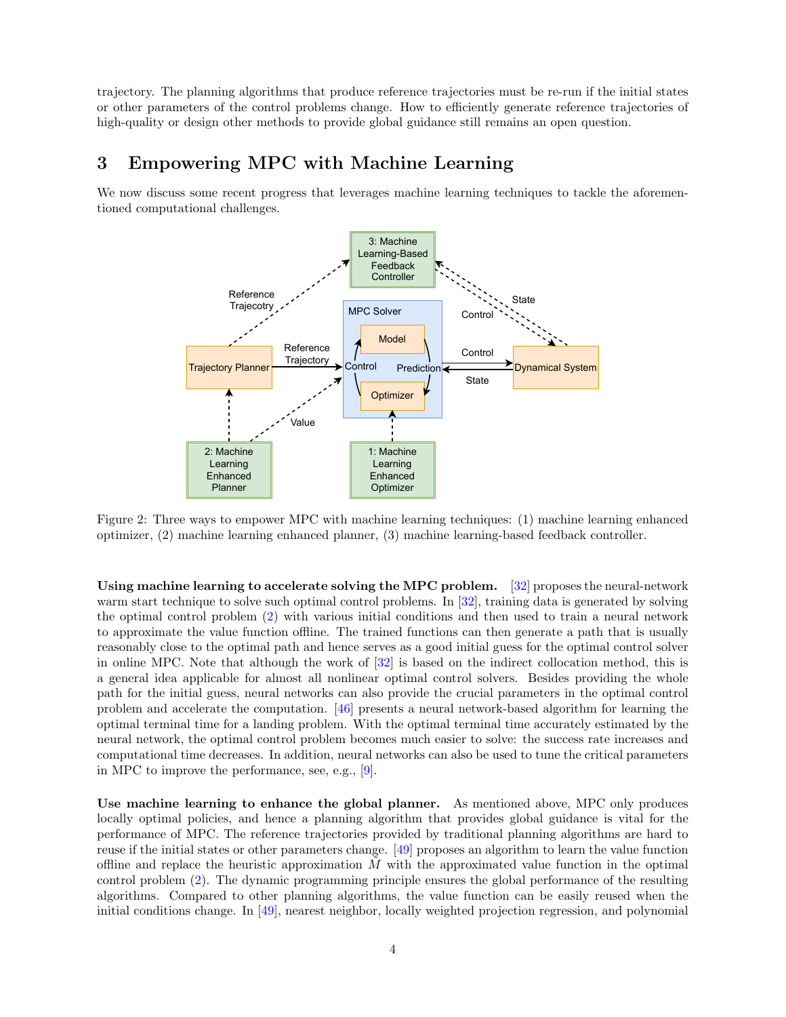trajectory. The planning algorithms that produce reference trajectories must be re-run if the initial states or other parameters of the control problems change. How to efficiently generate reference trajectories of high-quality or design other methods to provide global guidance still remains an open question.

## 3 Empowering MPC with Machine Learning

We now discuss some recent progress that leverages machine learning techniques to tackle the aforementioned computational challenges.



Figure 2: Three ways to empower MPC with machine learning techniques: (1) machine learning enhanced optimizer, (2) machine learning enhanced planner, (3) machine learning-based feedback controller.

Using machine learning to accelerate solving the MPC problem. [\[32\]](#page-6-14) proposes the neural-network warm start technique to solve such optimal control problems. In [\[32\]](#page-6-14), training data is generated by solving the optimal control problem [\(2\)](#page-1-1) with various initial conditions and then used to train a neural network to approximate the value function offline. The trained functions can then generate a path that is usually reasonably close to the optimal path and hence serves as a good initial guess for the optimal control solver in online MPC. Note that although the work of [\[32\]](#page-6-14) is based on the indirect collocation method, this is a general idea applicable for almost all nonlinear optimal control solvers. Besides providing the whole path for the initial guess, neural networks can also provide the crucial parameters in the optimal control problem and accelerate the computation. [\[46\]](#page-7-5) presents a neural network-based algorithm for learning the optimal terminal time for a landing problem. With the optimal terminal time accurately estimated by the neural network, the optimal control problem becomes much easier to solve: the success rate increases and computational time decreases. In addition, neural networks can also be used to tune the critical parameters in MPC to improve the performance, see, e.g., [\[9\]](#page-5-15).

Use machine learning to enhance the global planner. As mentioned above, MPC only produces locally optimal policies, and hence a planning algorithm that provides global guidance is vital for the performance of MPC. The reference trajectories provided by traditional planning algorithms are hard to reuse if the initial states or other parameters change. [\[49\]](#page-7-6) proposes an algorithm to learn the value function offline and replace the heuristic approximation  $M$  with the approximated value function in the optimal control problem [\(2\)](#page-1-1). The dynamic programming principle ensures the global performance of the resulting algorithms. Compared to other planning algorithms, the value function can be easily reused when the initial conditions change. In [\[49\]](#page-7-6), nearest neighbor, locally weighted projection regression, and polynomial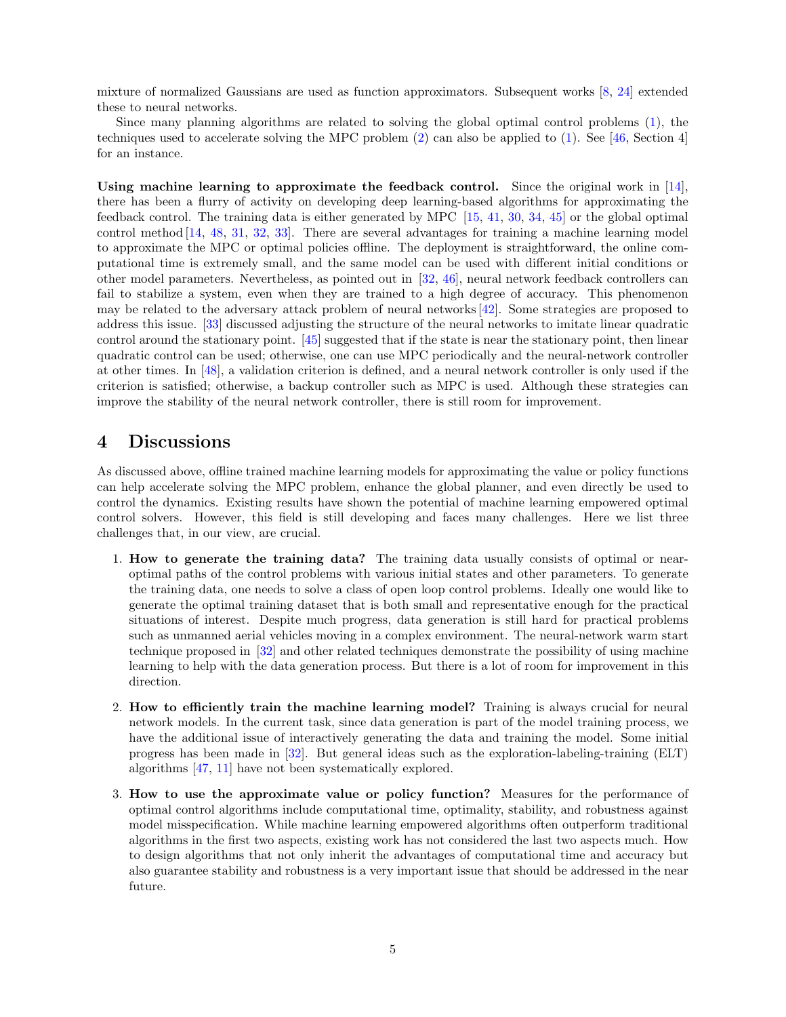mixture of normalized Gaussians are used as function approximators. Subsequent works [\[8,](#page-5-16) [24\]](#page-6-15) extended these to neural networks.

Since many planning algorithms are related to solving the global optimal control problems [\(1\)](#page-1-0), the techniques used to accelerate solving the MPC problem  $(2)$  can also be applied to  $(1)$ . See [\[46,](#page-7-5) Section 4] for an instance.

Using machine learning to approximate the feedback control. Since the original work in  $[14]$ , there has been a flurry of activity on developing deep learning-based algorithms for approximating the feedback control. The training data is either generated by MPC [\[15,](#page-5-17) [41,](#page-7-7) [30,](#page-6-16) [34,](#page-6-7) [45\]](#page-7-8) or the global optimal control method [\[14,](#page-5-3) [48,](#page-7-9) [31,](#page-6-17) [32,](#page-6-14) [33\]](#page-6-18). There are several advantages for training a machine learning model to approximate the MPC or optimal policies offline. The deployment is straightforward, the online computational time is extremely small, and the same model can be used with different initial conditions or other model parameters. Nevertheless, as pointed out in [\[32,](#page-6-14) [46\]](#page-7-5), neural network feedback controllers can fail to stabilize a system, even when they are trained to a high degree of accuracy. This phenomenon may be related to the adversary attack problem of neural networks [\[42\]](#page-7-10). Some strategies are proposed to address this issue. [\[33\]](#page-6-18) discussed adjusting the structure of the neural networks to imitate linear quadratic control around the stationary point. [\[45\]](#page-7-8) suggested that if the state is near the stationary point, then linear quadratic control can be used; otherwise, one can use MPC periodically and the neural-network controller at other times. In [\[48\]](#page-7-9), a validation criterion is defined, and a neural network controller is only used if the criterion is satisfied; otherwise, a backup controller such as MPC is used. Although these strategies can improve the stability of the neural network controller, there is still room for improvement.

#### 4 Discussions

As discussed above, offline trained machine learning models for approximating the value or policy functions can help accelerate solving the MPC problem, enhance the global planner, and even directly be used to control the dynamics. Existing results have shown the potential of machine learning empowered optimal control solvers. However, this field is still developing and faces many challenges. Here we list three challenges that, in our view, are crucial.

- 1. How to generate the training data? The training data usually consists of optimal or nearoptimal paths of the control problems with various initial states and other parameters. To generate the training data, one needs to solve a class of open loop control problems. Ideally one would like to generate the optimal training dataset that is both small and representative enough for the practical situations of interest. Despite much progress, data generation is still hard for practical problems such as unmanned aerial vehicles moving in a complex environment. The neural-network warm start technique proposed in [\[32\]](#page-6-14) and other related techniques demonstrate the possibility of using machine learning to help with the data generation process. But there is a lot of room for improvement in this direction.
- 2. How to efficiently train the machine learning model? Training is always crucial for neural network models. In the current task, since data generation is part of the model training process, we have the additional issue of interactively generating the data and training the model. Some initial progress has been made in [\[32\]](#page-6-14). But general ideas such as the exploration-labeling-training (ELT) algorithms [\[47,](#page-7-11) [11\]](#page-5-2) have not been systematically explored.
- 3. How to use the approximate value or policy function? Measures for the performance of optimal control algorithms include computational time, optimality, stability, and robustness against model misspecification. While machine learning empowered algorithms often outperform traditional algorithms in the first two aspects, existing work has not considered the last two aspects much. How to design algorithms that not only inherit the advantages of computational time and accuracy but also guarantee stability and robustness is a very important issue that should be addressed in the near future.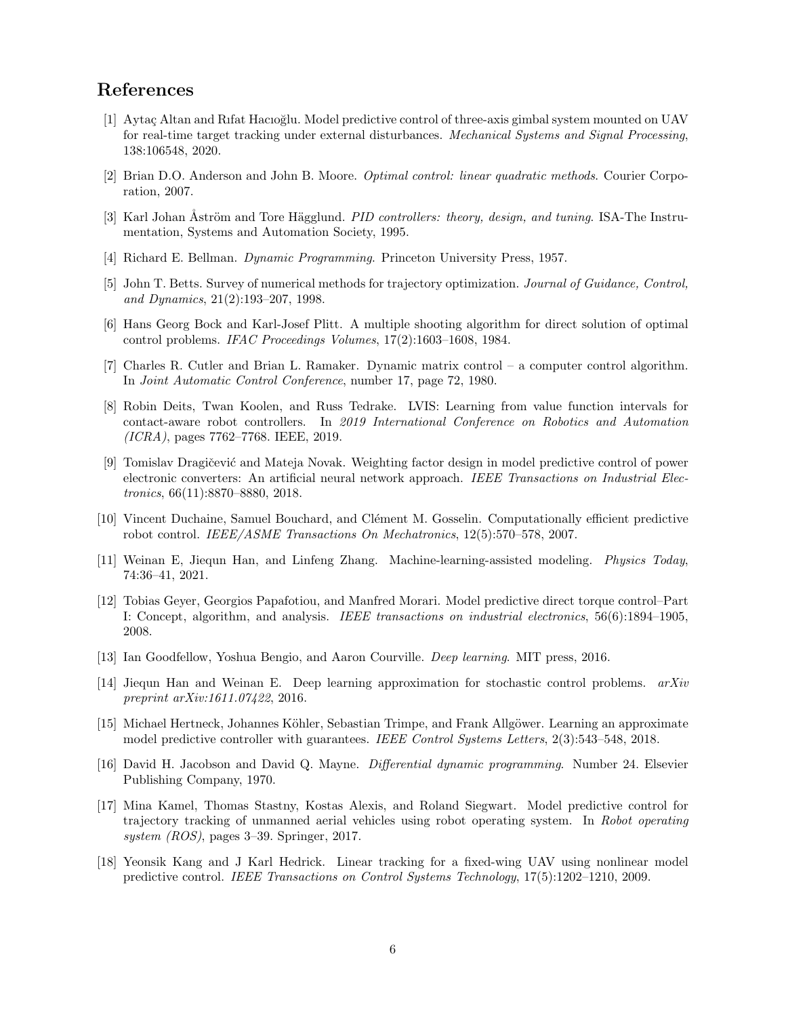# References

- <span id="page-5-9"></span>[1] Aytaç Altan and Rıfat Hacıoğlu. Model predictive control of three-axis gimbal system mounted on UAV for real-time target tracking under external disturbances. Mechanical Systems and Signal Processing, 138:106548, 2020.
- <span id="page-5-10"></span>[2] Brian D.O. Anderson and John B. Moore. Optimal control: linear quadratic methods. Courier Corporation, 2007.
- <span id="page-5-4"></span>[3] Karl Johan Åström and Tore Hägglund. *PID controllers: theory, design, and tuning*. ISA-The Instrumentation, Systems and Automation Society, 1995.
- <span id="page-5-0"></span>[4] Richard E. Bellman. Dynamic Programming. Princeton University Press, 1957.
- <span id="page-5-13"></span>[5] John T. Betts. Survey of numerical methods for trajectory optimization. Journal of Guidance, Control, and Dynamics, 21(2):193–207, 1998.
- <span id="page-5-11"></span>[6] Hans Georg Bock and Karl-Josef Plitt. A multiple shooting algorithm for direct solution of optimal control problems. IFAC Proceedings Volumes, 17(2):1603–1608, 1984.
- <span id="page-5-5"></span>[7] Charles R. Cutler and Brian L. Ramaker. Dynamic matrix control – a computer control algorithm. In Joint Automatic Control Conference, number 17, page 72, 1980.
- <span id="page-5-16"></span>[8] Robin Deits, Twan Koolen, and Russ Tedrake. LVIS: Learning from value function intervals for contact-aware robot controllers. In 2019 International Conference on Robotics and Automation (ICRA), pages 7762–7768. IEEE, 2019.
- <span id="page-5-15"></span>[9] Tomislav Dragičević and Mateja Novak. Weighting factor design in model predictive control of power electronic converters: An artificial neural network approach. IEEE Transactions on Industrial Electronics, 66(11):8870–8880, 2018.
- <span id="page-5-6"></span>[10] Vincent Duchaine, Samuel Bouchard, and Clément M. Gosselin. Computationally efficient predictive robot control. IEEE/ASME Transactions On Mechatronics, 12(5):570–578, 2007.
- <span id="page-5-2"></span>[11] Weinan E, Jiequn Han, and Linfeng Zhang. Machine-learning-assisted modeling. Physics Today, 74:36–41, 2021.
- <span id="page-5-14"></span>[12] Tobias Geyer, Georgios Papafotiou, and Manfred Morari. Model predictive direct torque control–Part I: Concept, algorithm, and analysis. IEEE transactions on industrial electronics, 56(6):1894–1905, 2008.
- <span id="page-5-1"></span>[13] Ian Goodfellow, Yoshua Bengio, and Aaron Courville. Deep learning. MIT press, 2016.
- <span id="page-5-3"></span>[14] Jiequn Han and Weinan E. Deep learning approximation for stochastic control problems. arXiv preprint arXiv:1611.07422, 2016.
- <span id="page-5-17"></span>[15] Michael Hertneck, Johannes Köhler, Sebastian Trimpe, and Frank Allgöwer. Learning an approximate model predictive controller with guarantees. IEEE Control Systems Letters, 2(3):543–548, 2018.
- <span id="page-5-12"></span>[16] David H. Jacobson and David Q. Mayne. Differential dynamic programming. Number 24. Elsevier Publishing Company, 1970.
- <span id="page-5-8"></span>[17] Mina Kamel, Thomas Stastny, Kostas Alexis, and Roland Siegwart. Model predictive control for trajectory tracking of unmanned aerial vehicles using robot operating system. In Robot operating system  $(ROS)$ , pages 3–39. Springer, 2017.
- <span id="page-5-7"></span>[18] Yeonsik Kang and J Karl Hedrick. Linear tracking for a fixed-wing UAV using nonlinear model predictive control. IEEE Transactions on Control Systems Technology, 17(5):1202–1210, 2009.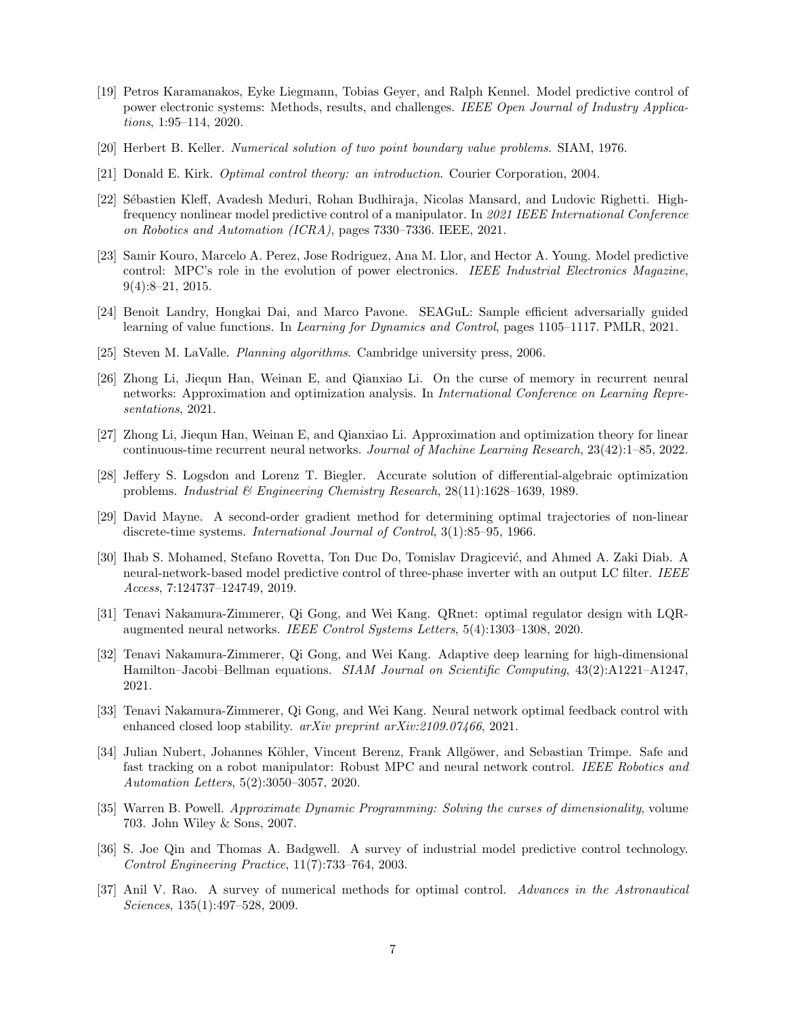- <span id="page-6-6"></span>[19] Petros Karamanakos, Eyke Liegmann, Tobias Geyer, and Ralph Kennel. Model predictive control of power electronic systems: Methods, results, and challenges. IEEE Open Journal of Industry Applications, 1:95–114, 2020.
- <span id="page-6-11"></span>[20] Herbert B. Keller. Numerical solution of two point boundary value problems. SIAM, 1976.
- <span id="page-6-0"></span>[21] Donald E. Kirk. Optimal control theory: an introduction. Courier Corporation, 2004.
- <span id="page-6-8"></span>[22] S´ebastien Kleff, Avadesh Meduri, Rohan Budhiraja, Nicolas Mansard, and Ludovic Righetti. Highfrequency nonlinear model predictive control of a manipulator. In 2021 IEEE International Conference on Robotics and Automation (ICRA), pages 7330–7336. IEEE, 2021.
- <span id="page-6-5"></span>[23] Samir Kouro, Marcelo A. Perez, Jose Rodriguez, Ana M. Llor, and Hector A. Young. Model predictive control: MPC's role in the evolution of power electronics. IEEE Industrial Electronics Magazine, 9(4):8–21, 2015.
- <span id="page-6-15"></span>[24] Benoit Landry, Hongkai Dai, and Marco Pavone. SEAGuL: Sample efficient adversarially guided learning of value functions. In Learning for Dynamics and Control, pages 1105–1117. PMLR, 2021.
- <span id="page-6-9"></span>[25] Steven M. LaValle. Planning algorithms. Cambridge university press, 2006.
- <span id="page-6-2"></span>[26] Zhong Li, Jiequn Han, Weinan E, and Qianxiao Li. On the curse of memory in recurrent neural networks: Approximation and optimization analysis. In *International Conference on Learning Repre*sentations, 2021.
- <span id="page-6-3"></span>[27] Zhong Li, Jiequn Han, Weinan E, and Qianxiao Li. Approximation and optimization theory for linear continuous-time recurrent neural networks. Journal of Machine Learning Research, 23(42):1–85, 2022.
- <span id="page-6-10"></span>[28] Jeffery S. Logsdon and Lorenz T. Biegler. Accurate solution of differential-algebraic optimization problems. Industrial & Engineering Chemistry Research, 28(11):1628–1639, 1989.
- <span id="page-6-12"></span>[29] David Mayne. A second-order gradient method for determining optimal trajectories of non-linear discrete-time systems. International Journal of Control, 3(1):85–95, 1966.
- <span id="page-6-16"></span>[30] Ihab S. Mohamed, Stefano Rovetta, Ton Duc Do, Tomislav Dragicević, and Ahmed A. Zaki Diab. A neural-network-based model predictive control of three-phase inverter with an output LC filter. IEEE Access, 7:124737–124749, 2019.
- <span id="page-6-17"></span>[31] Tenavi Nakamura-Zimmerer, Qi Gong, and Wei Kang. QRnet: optimal regulator design with LQRaugmented neural networks. IEEE Control Systems Letters, 5(4):1303–1308, 2020.
- <span id="page-6-14"></span>[32] Tenavi Nakamura-Zimmerer, Qi Gong, and Wei Kang. Adaptive deep learning for high-dimensional Hamilton–Jacobi–Bellman equations. SIAM Journal on Scientific Computing, 43(2):A1221–A1247, 2021.
- <span id="page-6-18"></span>[33] Tenavi Nakamura-Zimmerer, Qi Gong, and Wei Kang. Neural network optimal feedback control with enhanced closed loop stability. arXiv preprint arXiv:2109.07466, 2021.
- <span id="page-6-7"></span>[34] Julian Nubert, Johannes Köhler, Vincent Berenz, Frank Allgöwer, and Sebastian Trimpe. Safe and fast tracking on a robot manipulator: Robust MPC and neural network control. IEEE Robotics and Automation Letters, 5(2):3050–3057, 2020.
- <span id="page-6-1"></span>[35] Warren B. Powell. Approximate Dynamic Programming: Solving the curses of dimensionality, volume 703. John Wiley & Sons, 2007.
- <span id="page-6-4"></span>[36] S. Joe Qin and Thomas A. Badgwell. A survey of industrial model predictive control technology. Control Engineering Practice, 11(7):733–764, 2003.
- <span id="page-6-13"></span>[37] Anil V. Rao. A survey of numerical methods for optimal control. Advances in the Astronautical Sciences, 135(1):497–528, 2009.